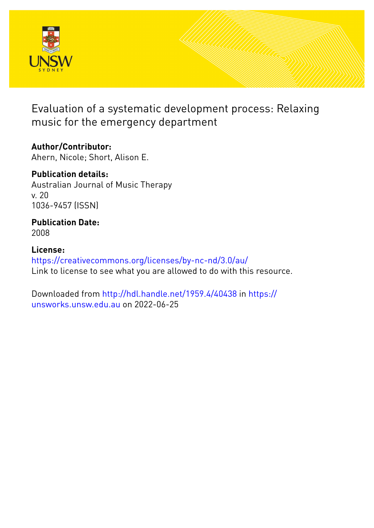

Evaluation of a systematic development process: Relaxing music for the emergency department

**Author/Contributor:** Ahern, Nicole; Short, Alison E.

**Publication details:** Australian Journal of Music Therapy v. 20 1036-9457 (ISSN)

#### **Publication Date:** 2008

**License:** <https://creativecommons.org/licenses/by-nc-nd/3.0/au/> Link to license to see what you are allowed to do with this resource.

Downloaded from <http://hdl.handle.net/1959.4/40438> in [https://](https://unsworks.unsw.edu.au) [unsworks.unsw.edu.au](https://unsworks.unsw.edu.au) on 2022-06-25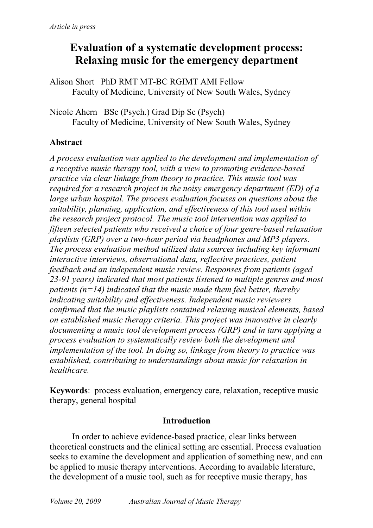# **Evaluation of a systematic development process: Relaxing music for the emergency department**

Alison Short PhD RMT MT-BC RGIMT AMI Fellow Faculty of Medicine, University of New South Wales, Sydney

Nicole Ahern BSc (Psych.) Grad Dip Sc (Psych) Faculty of Medicine, University of New South Wales, Sydney

## **Abstract**

*A process evaluation was applied to the development and implementation of a receptive music therapy tool, with a view to promoting evidence-based practice via clear linkage from theory to practice. This music tool was required for a research project in the noisy emergency department (ED) of a large urban hospital. The process evaluation focuses on questions about the suitability, planning, application, and effectiveness of this tool used within the research project protocol. The music tool intervention was applied to fifteen selected patients who received a choice of four genre-based relaxation playlists (GRP) over a two-hour period via headphones and MP3 players. The process evaluation method utilized data sources including key informant interactive interviews, observational data, reflective practices, patient feedback and an independent music review. Responses from patients (aged 23-91 years) indicated that most patients listened to multiple genres and most patients (n=14) indicated that the music made them feel better, thereby indicating suitability and effectiveness. Independent music reviewers confirmed that the music playlists contained relaxing musical elements, based on established music therapy criteria. This project was innovative in clearly documenting a music tool development process (GRP) and in turn applying a process evaluation to systematically review both the development and implementation of the tool. In doing so, linkage from theory to practice was established, contributing to understandings about music for relaxation in healthcare.* 

**Keywords**: process evaluation, emergency care, relaxation, receptive music therapy, general hospital

#### **Introduction**

In order to achieve evidence-based practice, clear links between theoretical constructs and the clinical setting are essential. Process evaluation seeks to examine the development and application of something new, and can be applied to music therapy interventions. According to available literature, the development of a music tool, such as for receptive music therapy, has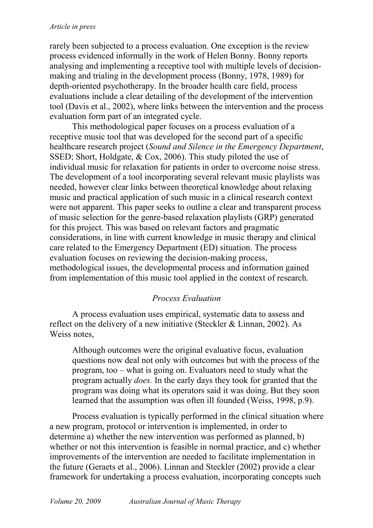rarely been subjected to a process evaluation. One exception is the review process evidenced informally in the work of Helen Bonny. Bonny reports analysing and implementing a receptive tool with multiple levels of decisionmaking and trialing in the development process (Bonny, 1978, 1989) for depth-oriented psychotherapy. In the broader health care field, process evaluations include a clear detailing of the development of the intervention tool (Davis et al., 2002), where links between the intervention and the process evaluation form part of an integrated cycle.

This methodological paper focuses on a process evaluation of a receptive music tool that was developed for the second part of a specific healthcare research project (*Sound and Silence in the Emergency Department*, SSED; Short, Holdgate, & Cox, 2006). This study piloted the use of individual music for relaxation for patients in order to overcome noise stress. The development of a tool incorporating several relevant music playlists was needed, however clear links between theoretical knowledge about relaxing music and practical application of such music in a clinical research context were not apparent. This paper seeks to outline a clear and transparent process of music selection for the genre-based relaxation playlists (GRP) generated for this project. This was based on relevant factors and pragmatic considerations, in line with current knowledge in music therapy and clinical care related to the Emergency Department (ED) situation. The process evaluation focuses on reviewing the decision-making process, methodological issues, the developmental process and information gained from implementation of this music tool applied in the context of research.

### *Process Evaluation*

A process evaluation uses empirical, systematic data to assess and reflect on the delivery of a new initiative (Steckler & Linnan, 2002). As Weiss notes,

Although outcomes were the original evaluative focus, evaluation questions now deal not only with outcomes but with the process of the program, too – what is going on. Evaluators need to study what the program actually *does.* In the early days they took for granted that the program was doing what its operators said it was doing. But they soon learned that the assumption was often ill founded (Weiss, 1998, p.9).

Process evaluation is typically performed in the clinical situation where a new program, protocol or intervention is implemented, in order to determine a) whether the new intervention was performed as planned, b) whether or not this intervention is feasible in normal practice, and c) whether improvements of the intervention are needed to facilitate implementation in the future (Geraets et al., 2006). Linnan and Steckler (2002) provide a clear framework for undertaking a process evaluation, incorporating concepts such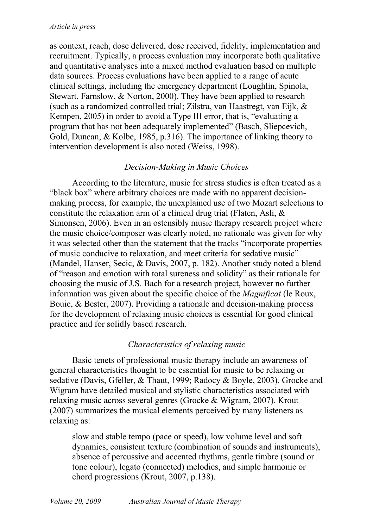as context, reach, dose delivered, dose received, fidelity, implementation and recruitment. Typically, a process evaluation may incorporate both qualitative and quantitative analyses into a mixed method evaluation based on multiple data sources. Process evaluations have been applied to a range of acute clinical settings, including the emergency department (Loughlin, Spinola, Stewart, Farnslow, & Norton, 2000). They have been applied to research (such as a randomized controlled trial; Zilstra, van Haastregt, van Eijk, & Kempen, 2005) in order to avoid a Type III error, that is, "evaluating a program that has not been adequately implemented" (Basch, Sliepcevich, Gold, Duncan, & Kolbe, 1985, p.316). The importance of linking theory to intervention development is also noted (Weiss, 1998).

#### *Decision-Making in Music Choices*

According to the literature, music for stress studies is often treated as a "black box" where arbitrary choices are made with no apparent decisionmaking process, for example, the unexplained use of two Mozart selections to constitute the relaxation arm of a clinical drug trial (Flaten, Asli, & Simonsen, 2006). Even in an ostensibly music therapy research project where the music choice/composer was clearly noted, no rationale was given for why it was selected other than the statement that the tracks "incorporate properties of music conducive to relaxation, and meet criteria for sedative music" (Mandel, Hanser, Secic, & Davis, 2007, p. 182). Another study noted a blend of "reason and emotion with total sureness and solidity" as their rationale for choosing the music of J.S. Bach for a research project, however no further information was given about the specific choice of the *Magnificat* (le Roux, Bouic, & Bester, 2007). Providing a rationale and decision-making process for the development of relaxing music choices is essential for good clinical practice and for solidly based research.

#### *Characteristics of relaxing music*

Basic tenets of professional music therapy include an awareness of general characteristics thought to be essential for music to be relaxing or sedative (Davis, Gfeller, & Thaut, 1999; Radocy & Boyle, 2003). Grocke and Wigram have detailed musical and stylistic characteristics associated with relaxing music across several genres (Grocke & Wigram, 2007). Krout (2007) summarizes the musical elements perceived by many listeners as relaxing as:

slow and stable tempo (pace or speed), low volume level and soft dynamics, consistent texture (combination of sounds and instruments), absence of percussive and accented rhythms, gentle timbre (sound or tone colour), legato (connected) melodies, and simple harmonic or chord progressions (Krout, 2007, p.138).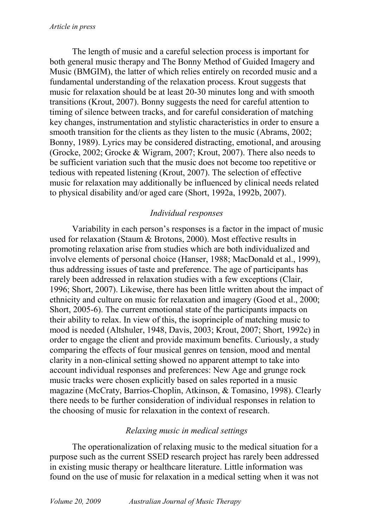The length of music and a careful selection process is important for both general music therapy and The Bonny Method of Guided Imagery and Music (BMGIM), the latter of which relies entirely on recorded music and a fundamental understanding of the relaxation process. Krout suggests that music for relaxation should be at least 20-30 minutes long and with smooth transitions (Krout, 2007). Bonny suggests the need for careful attention to timing of silence between tracks, and for careful consideration of matching key changes, instrumentation and stylistic characteristics in order to ensure a smooth transition for the clients as they listen to the music (Abrams, 2002; Bonny, 1989). Lyrics may be considered distracting, emotional, and arousing (Grocke, 2002; Grocke & Wigram, 2007; Krout, 2007). There also needs to be sufficient variation such that the music does not become too repetitive or tedious with repeated listening (Krout, 2007). The selection of effective music for relaxation may additionally be influenced by clinical needs related to physical disability and/or aged care (Short, 1992a, 1992b, 2007).

#### *Individual responses*

Variability in each person's responses is a factor in the impact of music used for relaxation (Staum & Brotons, 2000). Most effective results in promoting relaxation arise from studies which are both individualized and involve elements of personal choice (Hanser, 1988; MacDonald et al., 1999), thus addressing issues of taste and preference. The age of participants has rarely been addressed in relaxation studies with a few exceptions (Clair, 1996; Short, 2007). Likewise, there has been little written about the impact of ethnicity and culture on music for relaxation and imagery (Good et al., 2000; Short, 2005-6). The current emotional state of the participants impacts on their ability to relax. In view of this, the isoprinciple of matching music to mood is needed (Altshuler, 1948, Davis, 2003; Krout, 2007; Short, 1992c) in order to engage the client and provide maximum benefits. Curiously, a study comparing the effects of four musical genres on tension, mood and mental clarity in a non-clinical setting showed no apparent attempt to take into account individual responses and preferences: New Age and grunge rock music tracks were chosen explicitly based on sales reported in a music magazine (McCraty, Barrios-Choplin, Atkinson, & Tomasino, 1998). Clearly there needs to be further consideration of individual responses in relation to the choosing of music for relaxation in the context of research.

#### *Relaxing music in medical settings*

The operationalization of relaxing music to the medical situation for a purpose such as the current SSED research project has rarely been addressed in existing music therapy or healthcare literature. Little information was found on the use of music for relaxation in a medical setting when it was not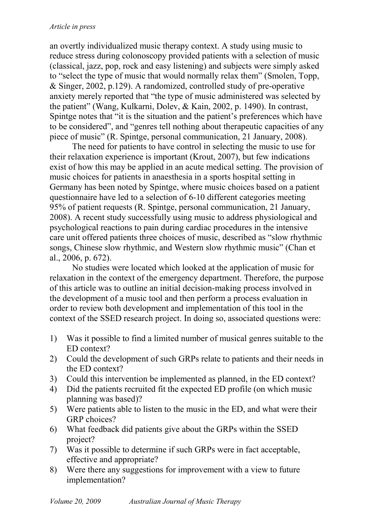an overtly individualized music therapy context. A study using music to reduce stress during colonoscopy provided patients with a selection of music (classical, jazz, pop, rock and easy listening) and subjects were simply asked to "select the type of music that would normally relax them" (Smolen, Topp, & Singer, 2002, p.129). A randomized, controlled study of pre-operative anxiety merely reported that "the type of music administered was selected by the patient" (Wang, Kulkarni, Dolev, & Kain, 2002, p. 1490). In contrast, Spintge notes that "it is the situation and the patient's preferences which have to be considered", and "genres tell nothing about therapeutic capacities of any piece of music" (R. Spintge, personal communication, 21 January, 2008).

The need for patients to have control in selecting the music to use for their relaxation experience is important (Krout, 2007), but few indications exist of how this may be applied in an acute medical setting. The provision of music choices for patients in anaesthesia in a sports hospital setting in Germany has been noted by Spintge, where music choices based on a patient questionnaire have led to a selection of 6-10 different categories meeting 95% of patient requests (R. Spintge, personal communication, 21 January, 2008). A recent study successfully using music to address physiological and psychological reactions to pain during cardiac procedures in the intensive care unit offered patients three choices of music, described as "slow rhythmic songs, Chinese slow rhythmic, and Western slow rhythmic music" (Chan et al., 2006, p. 672).

No studies were located which looked at the application of music for relaxation in the context of the emergency department. Therefore, the purpose of this article was to outline an initial decision-making process involved in the development of a music tool and then perform a process evaluation in order to review both development and implementation of this tool in the context of the SSED research project. In doing so, associated questions were:

- 1) Was it possible to find a limited number of musical genres suitable to the ED context?
- 2) Could the development of such GRPs relate to patients and their needs in the ED context?
- 3) Could this intervention be implemented as planned, in the ED context?
- 4) Did the patients recruited fit the expected ED profile (on which music planning was based)?
- 5) Were patients able to listen to the music in the ED, and what were their GRP choices?
- 6) What feedback did patients give about the GRPs within the SSED project?
- 7) Was it possible to determine if such GRPs were in fact acceptable, effective and appropriate?
- 8) Were there any suggestions for improvement with a view to future implementation?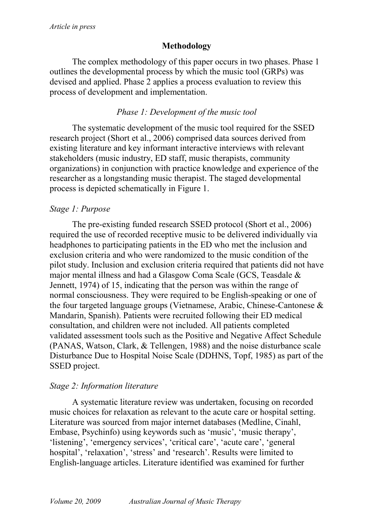## **Methodology**

The complex methodology of this paper occurs in two phases. Phase 1 outlines the developmental process by which the music tool (GRPs) was devised and applied. Phase 2 applies a process evaluation to review this process of development and implementation.

## *Phase 1: Development of the music tool*

The systematic development of the music tool required for the SSED research project (Short et al., 2006) comprised data sources derived from existing literature and key informant interactive interviews with relevant stakeholders (music industry, ED staff, music therapists, community organizations) in conjunction with practice knowledge and experience of the researcher as a longstanding music therapist. The staged developmental process is depicted schematically in Figure 1.

## *Stage 1: Purpose*

The pre-existing funded research SSED protocol (Short et al., 2006) required the use of recorded receptive music to be delivered individually via headphones to participating patients in the ED who met the inclusion and exclusion criteria and who were randomized to the music condition of the pilot study. Inclusion and exclusion criteria required that patients did not have major mental illness and had a Glasgow Coma Scale (GCS, Teasdale & Jennett, 1974) of 15, indicating that the person was within the range of normal consciousness. They were required to be English-speaking or one of the four targeted language groups (Vietnamese, Arabic, Chinese-Cantonese & Mandarin, Spanish). Patients were recruited following their ED medical consultation, and children were not included. All patients completed validated assessment tools such as the Positive and Negative Affect Schedule (PANAS, Watson, Clark, & Tellengen, 1988) and the noise disturbance scale Disturbance Due to Hospital Noise Scale (DDHNS, Topf, 1985) as part of the SSED project.

### *Stage 2: Information literature*

A systematic literature review was undertaken, focusing on recorded music choices for relaxation as relevant to the acute care or hospital setting. Literature was sourced from major internet databases (Medline, Cinahl, Embase, Psychinfo) using keywords such as 'music', 'music therapy', 'listening', 'emergency services', 'critical care', 'acute care', 'general hospital', 'relaxation', 'stress' and 'research'. Results were limited to English-language articles. Literature identified was examined for further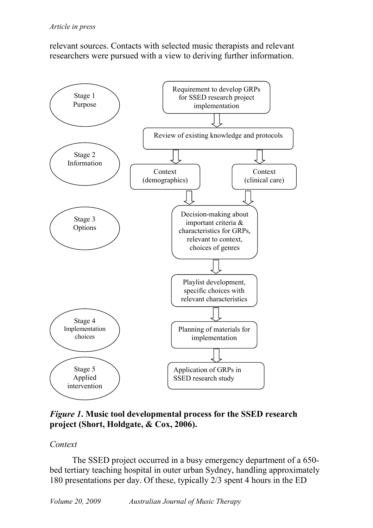relevant sources. Contacts with selected music therapists and relevant researchers were pursued with a view to deriving further information.



*Figure 1***. Music tool developmental process for the SSED research project (Short, Holdgate, & Cox, 2006).** 

#### *Context*

The SSED project occurred in a busy emergency department of a 650 bed tertiary teaching hospital in outer urban Sydney, handling approximately 180 presentations per day. Of these, typically 2/3 spent 4 hours in the ED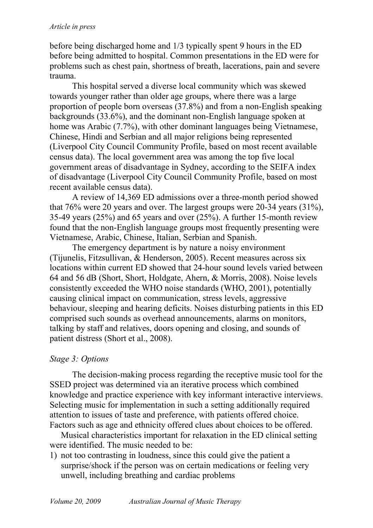before being discharged home and 1/3 typically spent 9 hours in the ED before being admitted to hospital. Common presentations in the ED were for problems such as chest pain, shortness of breath, lacerations, pain and severe trauma.

This hospital served a diverse local community which was skewed towards younger rather than older age groups, where there was a large proportion of people born overseas (37.8%) and from a non-English speaking backgrounds (33.6%), and the dominant non-English language spoken at home was Arabic (7.7%), with other dominant languages being Vietnamese, Chinese, Hindi and Serbian and all major religions being represented (Liverpool City Council Community Profile, based on most recent available census data). The local government area was among the top five local government areas of disadvantage in Sydney, according to the SEIFA index of disadvantage (Liverpool City Council Community Profile, based on most recent available census data).

A review of 14,369 ED admissions over a three-month period showed that  $76\%$  were 20 years and over. The largest groups were 20-34 years  $(31\%)$ , 35-49 years (25%) and 65 years and over (25%). A further 15-month review found that the non-English language groups most frequently presenting were Vietnamese, Arabic, Chinese, Italian, Serbian and Spanish.

The emergency department is by nature a noisy environment (Tijunelis, Fitzsullivan, & Henderson, 2005). Recent measures across six locations within current ED showed that 24-hour sound levels varied between 64 and 56 dB (Short, Short, Holdgate, Ahern, & Morris, 2008). Noise levels consistently exceeded the WHO noise standards (WHO, 2001), potentially causing clinical impact on communication, stress levels, aggressive behaviour, sleeping and hearing deficits. Noises disturbing patients in this ED comprised such sounds as overhead announcements, alarms on monitors, talking by staff and relatives, doors opening and closing, and sounds of patient distress (Short et al., 2008).

### *Stage 3: Options*

The decision-making process regarding the receptive music tool for the SSED project was determined via an iterative process which combined knowledge and practice experience with key informant interactive interviews. Selecting music for implementation in such a setting additionally required attention to issues of taste and preference, with patients offered choice. Factors such as age and ethnicity offered clues about choices to be offered.

Musical characteristics important for relaxation in the ED clinical setting were identified. The music needed to be:

1) not too contrasting in loudness, since this could give the patient a surprise/shock if the person was on certain medications or feeling very unwell, including breathing and cardiac problems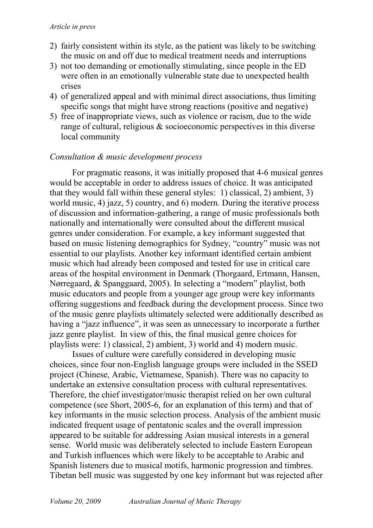- 2) fairly consistent within its style, as the patient was likely to be switching the music on and off due to medical treatment needs and interruptions
- 3) not too demanding or emotionally stimulating, since people in the ED were often in an emotionally vulnerable state due to unexpected health crises
- 4) of generalized appeal and with minimal direct associations, thus limiting specific songs that might have strong reactions (positive and negative)
- 5) free of inappropriate views, such as violence or racism, due to the wide range of cultural, religious & socioeconomic perspectives in this diverse local community

#### *Consultation & music development process*

For pragmatic reasons, it was initially proposed that 4-6 musical genres would be acceptable in order to address issues of choice. It was anticipated that they would fall within these general styles: 1) classical, 2) ambient, 3) world music, 4) jazz, 5) country, and 6) modern. During the iterative process of discussion and information-gathering, a range of music professionals both nationally and internationally were consulted about the different musical genres under consideration. For example, a key informant suggested that based on music listening demographics for Sydney, "country" music was not essential to our playlists. Another key informant identified certain ambient music which had already been composed and tested for use in critical care areas of the hospital environment in Denmark (Thorgaard, Ertmann, Hansen, Nørregaard, & Spanggaard, 2005). In selecting a "modern" playlist, both music educators and people from a younger age group were key informants offering suggestions and feedback during the development process. Since two of the music genre playlists ultimately selected were additionally described as having a "jazz influence", it was seen as unnecessary to incorporate a further jazz genre playlist. In view of this, the final musical genre choices for playlists were: 1) classical, 2) ambient, 3) world and 4) modern music.

Issues of culture were carefully considered in developing music choices, since four non-English language groups were included in the SSED project (Chinese, Arabic, Vietnamese, Spanish). There was no capacity to undertake an extensive consultation process with cultural representatives. Therefore, the chief investigator/music therapist relied on her own cultural competence (see Short, 2005-6, for an explanation of this term) and that of key informants in the music selection process. Analysis of the ambient music indicated frequent usage of pentatonic scales and the overall impression appeared to be suitable for addressing Asian musical interests in a general sense. World music was deliberately selected to include Eastern European and Turkish influences which were likely to be acceptable to Arabic and Spanish listeners due to musical motifs, harmonic progression and timbres. Tibetan bell music was suggested by one key informant but was rejected after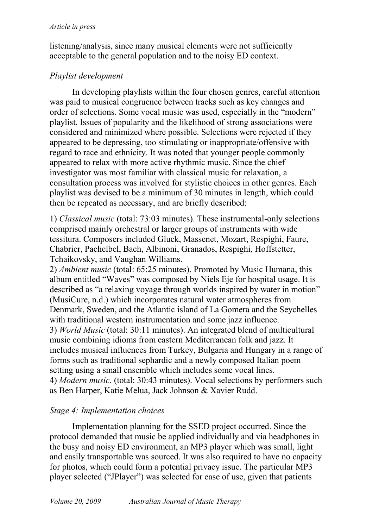listening/analysis, since many musical elements were not sufficiently acceptable to the general population and to the noisy ED context.

## *Playlist development*

In developing playlists within the four chosen genres, careful attention was paid to musical congruence between tracks such as key changes and order of selections. Some vocal music was used, especially in the "modern" playlist. Issues of popularity and the likelihood of strong associations were considered and minimized where possible. Selections were rejected if they appeared to be depressing, too stimulating or inappropriate/offensive with regard to race and ethnicity. It was noted that younger people commonly appeared to relax with more active rhythmic music. Since the chief investigator was most familiar with classical music for relaxation, a consultation process was involved for stylistic choices in other genres. Each playlist was devised to be a minimum of 30 minutes in length, which could then be repeated as necessary, and are briefly described:

1) *Classical music* (total: 73:03 minutes). These instrumental-only selections comprised mainly orchestral or larger groups of instruments with wide tessitura. Composers included Gluck, Massenet, Mozart, Respighi, Faure, Chabrier, Pachelbel, Bach, Albinoni, Granados, Respighi, Hoffstetter, Tchaikovsky, and Vaughan Williams.

2) *Ambient music* (total: 65:25 minutes). Promoted by Music Humana, this album entitled "Waves" was composed by Niels Eje for hospital usage. It is described as "a relaxing voyage through worlds inspired by water in motion" (MusiCure, n.d.) which incorporates natural water atmospheres from Denmark, Sweden, and the Atlantic island of La Gomera and the Seychelles with traditional western instrumentation and some jazz influence. 3) *World Music* (total: 30:11 minutes). An integrated blend of multicultural music combining idioms from eastern Mediterranean folk and jazz. It includes musical influences from Turkey, Bulgaria and Hungary in a range of forms such as traditional sephardic and a newly composed Italian poem setting using a small ensemble which includes some vocal lines. 4) *Modern music*. (total: 30:43 minutes). Vocal selections by performers such as Ben Harper, Katie Melua, Jack Johnson & Xavier Rudd.

## *Stage 4: Implementation choices*

Implementation planning for the SSED project occurred. Since the protocol demanded that music be applied individually and via headphones in the busy and noisy ED environment, an MP3 player which was small, light and easily transportable was sourced. It was also required to have no capacity for photos, which could form a potential privacy issue. The particular MP3 player selected ("JPlayer") was selected for ease of use, given that patients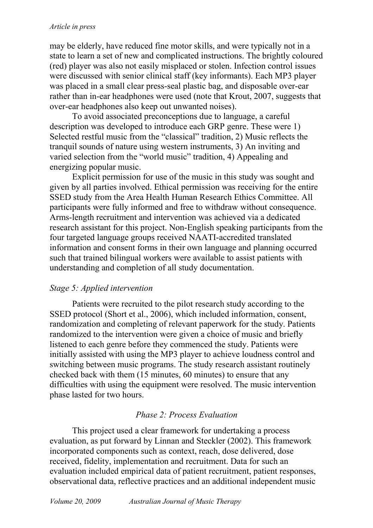may be elderly, have reduced fine motor skills, and were typically not in a state to learn a set of new and complicated instructions. The brightly coloured (red) player was also not easily misplaced or stolen. Infection control issues were discussed with senior clinical staff (key informants). Each MP3 player was placed in a small clear press-seal plastic bag, and disposable over-ear rather than in-ear headphones were used (note that Krout, 2007, suggests that over-ear headphones also keep out unwanted noises).

To avoid associated preconceptions due to language, a careful description was developed to introduce each GRP genre. These were 1) Selected restful music from the "classical" tradition, 2) Music reflects the tranquil sounds of nature using western instruments, 3) An inviting and varied selection from the "world music" tradition, 4) Appealing and energizing popular music.

Explicit permission for use of the music in this study was sought and given by all parties involved. Ethical permission was receiving for the entire SSED study from the Area Health Human Research Ethics Committee. All participants were fully informed and free to withdraw without consequence. Arms-length recruitment and intervention was achieved via a dedicated research assistant for this project. Non-English speaking participants from the four targeted language groups received NAATI-accredited translated information and consent forms in their own language and planning occurred such that trained bilingual workers were available to assist patients with understanding and completion of all study documentation.

#### *Stage 5: Applied intervention*

Patients were recruited to the pilot research study according to the SSED protocol (Short et al., 2006), which included information, consent, randomization and completing of relevant paperwork for the study. Patients randomized to the intervention were given a choice of music and briefly listened to each genre before they commenced the study. Patients were initially assisted with using the MP3 player to achieve loudness control and switching between music programs. The study research assistant routinely checked back with them (15 minutes, 60 minutes) to ensure that any difficulties with using the equipment were resolved. The music intervention phase lasted for two hours.

### *Phase 2: Process Evaluation*

This project used a clear framework for undertaking a process evaluation, as put forward by Linnan and Steckler (2002). This framework incorporated components such as context, reach, dose delivered, dose received, fidelity, implementation and recruitment. Data for such an evaluation included empirical data of patient recruitment, patient responses, observational data, reflective practices and an additional independent music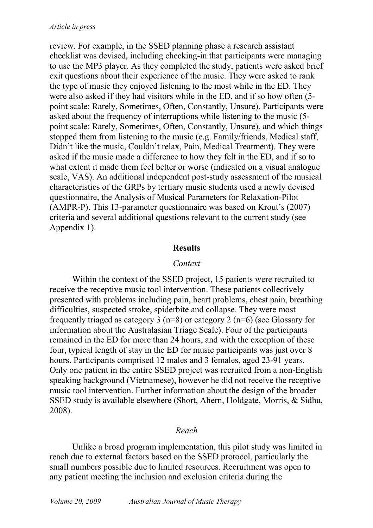review. For example, in the SSED planning phase a research assistant checklist was devised, including checking-in that participants were managing to use the MP3 player. As they completed the study, patients were asked brief exit questions about their experience of the music. They were asked to rank the type of music they enjoyed listening to the most while in the ED. They were also asked if they had visitors while in the ED, and if so how often (5 point scale: Rarely, Sometimes, Often, Constantly, Unsure). Participants were asked about the frequency of interruptions while listening to the music (5 point scale: Rarely, Sometimes, Often, Constantly, Unsure), and which things stopped them from listening to the music (e.g. Family/friends, Medical staff, Didn't like the music, Couldn't relax, Pain, Medical Treatment). They were asked if the music made a difference to how they felt in the ED, and if so to what extent it made them feel better or worse (indicated on a visual analogue scale, VAS). An additional independent post-study assessment of the musical characteristics of the GRPs by tertiary music students used a newly devised questionnaire, the Analysis of Musical Parameters for Relaxation-Pilot (AMPR-P). This 13-parameter questionnaire was based on Krout's (2007) criteria and several additional questions relevant to the current study (see Appendix 1).

#### **Results**

#### *Context*

Within the context of the SSED project, 15 patients were recruited to receive the receptive music tool intervention. These patients collectively presented with problems including pain, heart problems, chest pain, breathing difficulties, suspected stroke, spiderbite and collapse. They were most frequently triaged as category 3 (n=8) or category 2 (n=6) (see Glossary for information about the Australasian Triage Scale). Four of the participants remained in the ED for more than 24 hours, and with the exception of these four, typical length of stay in the ED for music participants was just over 8 hours. Participants comprised 12 males and 3 females, aged 23-91 years. Only one patient in the entire SSED project was recruited from a non-English speaking background (Vietnamese), however he did not receive the receptive music tool intervention. Further information about the design of the broader SSED study is available elsewhere (Short, Ahern, Holdgate, Morris, & Sidhu, 2008).

#### *Reach*

Unlike a broad program implementation, this pilot study was limited in reach due to external factors based on the SSED protocol, particularly the small numbers possible due to limited resources. Recruitment was open to any patient meeting the inclusion and exclusion criteria during the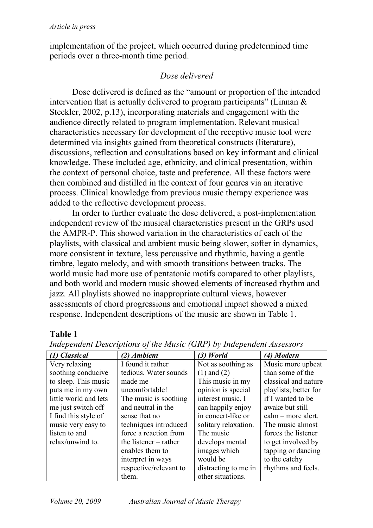implementation of the project, which occurred during predetermined time periods over a three-month time period.

## *Dose delivered*

Dose delivered is defined as the "amount or proportion of the intended intervention that is actually delivered to program participants" (Linnan  $\&$ Steckler, 2002, p.13), incorporating materials and engagement with the audience directly related to program implementation. Relevant musical characteristics necessary for development of the receptive music tool were determined via insights gained from theoretical constructs (literature), discussions, reflection and consultations based on key informant and clinical knowledge. These included age, ethnicity, and clinical presentation, within the context of personal choice, taste and preference. All these factors were then combined and distilled in the context of four genres via an iterative process. Clinical knowledge from previous music therapy experience was added to the reflective development process.

In order to further evaluate the dose delivered, a post-implementation independent review of the musical characteristics present in the GRPs used the AMPR-P. This showed variation in the characteristics of each of the playlists, with classical and ambient music being slower, softer in dynamics, more consistent in texture, less percussive and rhythmic, having a gentle timbre, legato melody, and with smooth transitions between tracks. The world music had more use of pentatonic motifs compared to other playlists, and both world and modern music showed elements of increased rhythm and jazz. All playlists showed no inappropriate cultural views, however assessments of chord progressions and emotional impact showed a mixed response. Independent descriptions of the music are shown in Table 1.

### **Table 1**

| (1) Classical         | (2) Ambient            | $(3)$ World          | (4) Modern            |
|-----------------------|------------------------|----------------------|-----------------------|
| Very relaxing         | I found it rather      | Not as soothing as   | Music more upbeat     |
| soothing conducive    | tedious. Water sounds  | $(1)$ and $(2)$      | than some of the      |
| to sleep. This music  | made me                | This music in my     | classical and nature  |
| puts me in my own     | uncomfortable!         | opinion is special   | playlists; better for |
| little world and lets | The music is soothing  | interest music. I    | if I wanted to be     |
| me just switch off    | and neutral in the     | can happily enjoy    | awake but still       |
| I find this style of  | sense that no          | in concert-like or   | $calm$ – more alert.  |
| music very easy to    | techniques introduced  | solitary relaxation. | The music almost      |
| listen to and         | force a reaction from  | The music            | forces the listener   |
| relax/unwind to.      | the listener – rather  | develops mental      | to get involved by    |
|                       | enables them to        | images which         | tapping or dancing    |
|                       | interpret in ways      | would be             | to the catchy         |
|                       | respective/relevant to | distracting to me in | rhythms and feels.    |
|                       | them.                  | other situations.    |                       |

*Independent Descriptions of the Music (GRP) by Independent Assessors*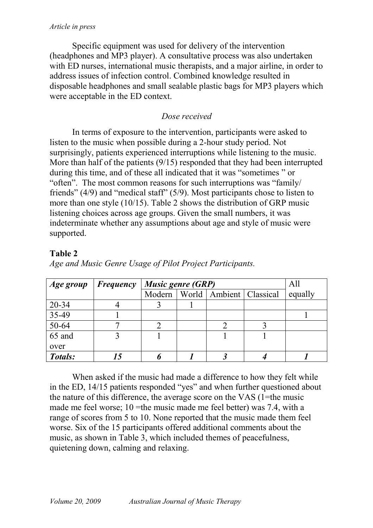Specific equipment was used for delivery of the intervention (headphones and MP3 player). A consultative process was also undertaken with ED nurses, international music therapists, and a major airline, in order to address issues of infection control. Combined knowledge resulted in disposable headphones and small sealable plastic bags for MP3 players which were acceptable in the ED context.

## *Dose received*

In terms of exposure to the intervention, participants were asked to listen to the music when possible during a 2-hour study period. Not surprisingly, patients experienced interruptions while listening to the music. More than half of the patients (9/15) responded that they had been interrupted during this time, and of these all indicated that it was "sometimes " or "often". The most common reasons for such interruptions was "family/ friends" (4/9) and "medical staff" (5/9). Most participants chose to listen to more than one style (10/15). Table 2 shows the distribution of GRP music listening choices across age groups. Given the small numbers, it was indeterminate whether any assumptions about age and style of music were supported.

## **Table 2**

| Age group | <b>Frequency</b> | <b>Music genre (GRP)</b> |  |                                      | All |         |
|-----------|------------------|--------------------------|--|--------------------------------------|-----|---------|
|           |                  |                          |  | Modern   World   Ambient   Classical |     | equally |
| 20-34     |                  |                          |  |                                      |     |         |
| 35-49     |                  |                          |  |                                      |     |         |
| 50-64     |                  |                          |  |                                      |     |         |
| 65 and    |                  |                          |  |                                      |     |         |
| over      |                  |                          |  |                                      |     |         |
| Totals:   |                  |                          |  |                                      |     |         |

*Age and Music Genre Usage of Pilot Project Participants.* 

When asked if the music had made a difference to how they felt while in the ED, 14/15 patients responded "yes" and when further questioned about the nature of this difference, the average score on the VAS (1=the music made me feel worse; 10 = the music made me feel better) was 7.4, with a range of scores from 5 to 10. None reported that the music made them feel worse. Six of the 15 participants offered additional comments about the music, as shown in Table 3, which included themes of peacefulness, quietening down, calming and relaxing.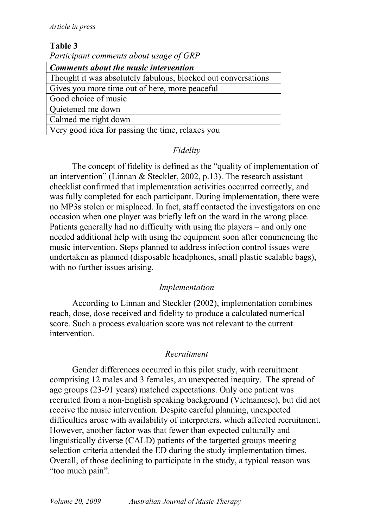#### **Table 3**

*Participant comments about usage of GRP* 

| <b>Comments about the music intervention</b>                  |  |  |
|---------------------------------------------------------------|--|--|
| Thought it was absolutely fabulous, blocked out conversations |  |  |
| Gives you more time out of here, more peaceful                |  |  |
| Good choice of music                                          |  |  |
| Quietened me down                                             |  |  |
| Calmed me right down                                          |  |  |
| Very good idea for passing the time, relaxes you              |  |  |

### *Fidelity*

The concept of fidelity is defined as the "quality of implementation of an intervention" (Linnan & Steckler, 2002, p.13). The research assistant checklist confirmed that implementation activities occurred correctly, and was fully completed for each participant. During implementation, there were no MP3s stolen or misplaced. In fact, staff contacted the investigators on one occasion when one player was briefly left on the ward in the wrong place. Patients generally had no difficulty with using the players – and only one needed additional help with using the equipment soon after commencing the music intervention. Steps planned to address infection control issues were undertaken as planned (disposable headphones, small plastic sealable bags), with no further issues arising.

#### *Implementation*

According to Linnan and Steckler (2002), implementation combines reach, dose, dose received and fidelity to produce a calculated numerical score. Such a process evaluation score was not relevant to the current intervention.

#### *Recruitment*

Gender differences occurred in this pilot study, with recruitment comprising 12 males and 3 females, an unexpected inequity. The spread of age groups (23-91 years) matched expectations. Only one patient was recruited from a non-English speaking background (Vietnamese), but did not receive the music intervention. Despite careful planning, unexpected difficulties arose with availability of interpreters, which affected recruitment. However, another factor was that fewer than expected culturally and linguistically diverse (CALD) patients of the targetted groups meeting selection criteria attended the ED during the study implementation times. Overall, of those declining to participate in the study, a typical reason was "too much pain".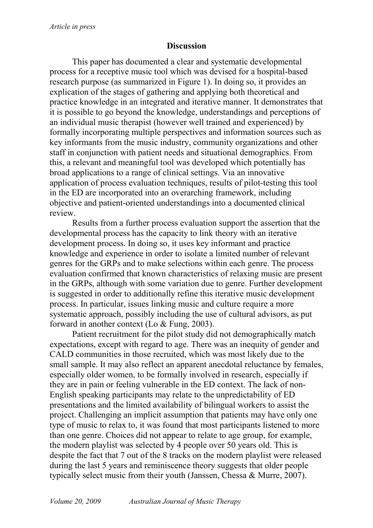#### **Discussion**

This paper has documented a clear and systematic developmental process for a receptive music tool which was devised for a hospital-based research purpose (as summarized in Figure 1). In doing so, it provides an explication of the stages of gathering and applying both theoretical and practice knowledge in an integrated and iterative manner. It demonstrates that it is possible to go beyond the knowledge, understandings and perceptions of an individual music therapist (however well trained and experienced) by formally incorporating multiple perspectives and information sources such as key informants from the music industry, community organizations and other staff in conjunction with patient needs and situational demographics. From this, a relevant and meaningful tool was developed which potentially has broad applications to a range of clinical settings. Via an innovative application of process evaluation techniques, results of pilot-testing this tool in the ED are incorporated into an overarching framework, including objective and patient-oriented understandings into a documented clinical review.

Results from a further process evaluation support the assertion that the developmental process has the capacity to link theory with an iterative development process. In doing so, it uses key informant and practice knowledge and experience in order to isolate a limited number of relevant genres for the GRPs and to make selections within each genre. The process evaluation confirmed that known characteristics of relaxing music are present in the GRPs, although with some variation due to genre. Further development is suggested in order to additionally refine this iterative music development process. In particular, issues linking music and culture require a more systematic approach, possibly including the use of cultural advisors, as put forward in another context (Lo & Fung, 2003).

Patient recruitment for the pilot study did not demographically match expectations, except with regard to age. There was an inequity of gender and CALD communities in those recruited, which was most likely due to the small sample. It may also reflect an apparent anecdotal reluctance by females, especially older women, to be formally involved in research, especially if they are in pain or feeling vulnerable in the ED context. The lack of non-English speaking participants may relate to the unpredictability of ED presentations and the limited availability of bilingual workers to assist the project. Challenging an implicit assumption that patients may have only one type of music to relax to, it was found that most participants listened to more than one genre. Choices did not appear to relate to age group, for example, the modern playlist was selected by 4 people over 50 years old. This is despite the fact that 7 out of the 8 tracks on the modern playlist were released during the last 5 years and reminiscence theory suggests that older people typically select music from their youth (Janssen, Chessa & Murre, 2007).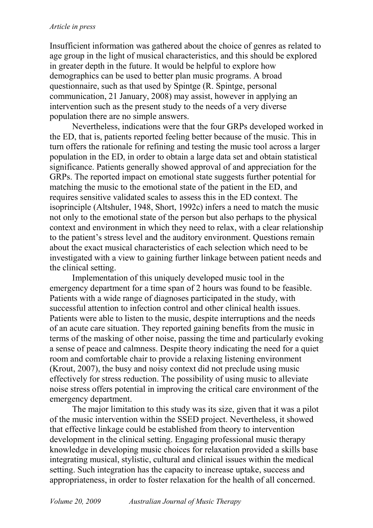Insufficient information was gathered about the choice of genres as related to age group in the light of musical characteristics, and this should be explored in greater depth in the future. It would be helpful to explore how demographics can be used to better plan music programs. A broad questionnaire, such as that used by Spintge (R. Spintge, personal communication, 21 January, 2008) may assist, however in applying an intervention such as the present study to the needs of a very diverse population there are no simple answers.

Nevertheless, indications were that the four GRPs developed worked in the ED, that is, patients reported feeling better because of the music. This in turn offers the rationale for refining and testing the music tool across a larger population in the ED, in order to obtain a large data set and obtain statistical significance. Patients generally showed approval of and appreciation for the GRPs. The reported impact on emotional state suggests further potential for matching the music to the emotional state of the patient in the ED, and requires sensitive validated scales to assess this in the ED context. The isoprinciple (Altshuler, 1948, Short, 1992c) infers a need to match the music not only to the emotional state of the person but also perhaps to the physical context and environment in which they need to relax, with a clear relationship to the patient's stress level and the auditory environment. Questions remain about the exact musical characteristics of each selection which need to be investigated with a view to gaining further linkage between patient needs and the clinical setting.

Implementation of this uniquely developed music tool in the emergency department for a time span of 2 hours was found to be feasible. Patients with a wide range of diagnoses participated in the study, with successful attention to infection control and other clinical health issues. Patients were able to listen to the music, despite interruptions and the needs of an acute care situation. They reported gaining benefits from the music in terms of the masking of other noise, passing the time and particularly evoking a sense of peace and calmness. Despite theory indicating the need for a quiet room and comfortable chair to provide a relaxing listening environment (Krout, 2007), the busy and noisy context did not preclude using music effectively for stress reduction. The possibility of using music to alleviate noise stress offers potential in improving the critical care environment of the emergency department.

The major limitation to this study was its size, given that it was a pilot of the music intervention within the SSED project. Nevertheless, it showed that effective linkage could be established from theory to intervention development in the clinical setting. Engaging professional music therapy knowledge in developing music choices for relaxation provided a skills base integrating musical, stylistic, cultural and clinical issues within the medical setting. Such integration has the capacity to increase uptake, success and appropriateness, in order to foster relaxation for the health of all concerned.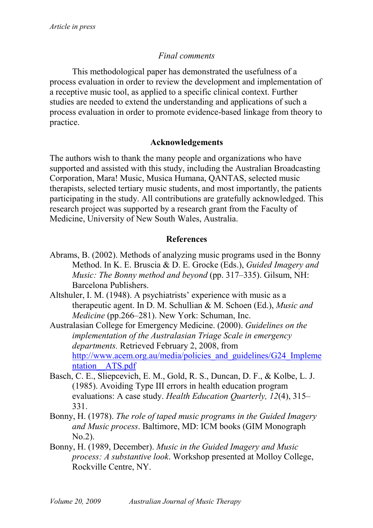### *Final comments*

This methodological paper has demonstrated the usefulness of a process evaluation in order to review the development and implementation of a receptive music tool, as applied to a specific clinical context. Further studies are needed to extend the understanding and applications of such a process evaluation in order to promote evidence-based linkage from theory to practice.

#### **Acknowledgements**

The authors wish to thank the many people and organizations who have supported and assisted with this study, including the Australian Broadcasting Corporation, Mara! Music, Musica Humana, QANTAS, selected music therapists, selected tertiary music students, and most importantly, the patients participating in the study. All contributions are gratefully acknowledged. This research project was supported by a research grant from the Faculty of Medicine, University of New South Wales, Australia.

#### **References**

- Abrams, B. (2002). Methods of analyzing music programs used in the Bonny Method. In K. E. Bruscia & D. E. Grocke (Eds.), *Guided Imagery and Music: The Bonny method and beyond* (pp. 317–335). Gilsum, NH: Barcelona Publishers.
- Altshuler, I. M. (1948). A psychiatrists' experience with music as a therapeutic agent. In D. M. Schullian & M. Schoen (Ed.), *Music and Medicine* (pp.266–281). New York: Schuman, Inc.
- Australasian College for Emergency Medicine. (2000). *Guidelines on the implementation of the Australasian Triage Scale in emergency departments.* Retrieved February 2, 2008, from http://www.acem.org.au/media/policies and guidelines/G24 Impleme ntation\_\_ATS.pdf
- Basch, C. E., Sliepcevich, E. M., Gold, R. S., Duncan, D. F., & Kolbe, L. J. (1985). Avoiding Type III errors in health education program evaluations: A case study. *Health Education Quarterly, 12*(4), 315– 331.
- Bonny, H. (1978). *The role of taped music programs in the Guided Imagery and Music process*. Baltimore, MD: ICM books (GIM Monograph No.2).
- Bonny, H. (1989, December). *Music in the Guided Imagery and Music process: A substantive look*. Workshop presented at Molloy College, Rockville Centre, NY.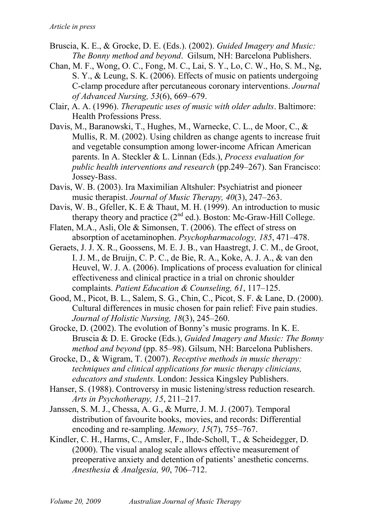- Bruscia, K. E., & Grocke, D. E. (Eds.). (2002). *Guided Imagery and Music: The Bonny method and beyond*. Gilsum, NH: Barcelona Publishers.
- Chan, M. F., Wong, O. C., Fong, M. C., Lai, S. Y., Lo, C. W., Ho, S. M., Ng, S. Y., & Leung, S. K. (2006). Effects of music on patients undergoing C-clamp procedure after percutaneous coronary interventions. *Journal of Advanced Nursing, 53*(6), 669–679.
- Clair, A. A. (1996). *Therapeutic uses of music with older adults*. Baltimore: Health Professions Press.
- Davis, M., Baranowski, T., Hughes, M., Warnecke, C. L., de Moor, C., & Mullis, R. M. (2002). Using children as change agents to increase fruit and vegetable consumption among lower-income African American parents. In A. Steckler & L. Linnan (Eds.), *Process evaluation for public health interventions and research* (pp.249–267). San Francisco: Jossey-Bass.
- Davis, W. B. (2003). Ira Maximilian Altshuler: Psychiatrist and pioneer music therapist. *Journal of Music Therapy, 40*(3), 247–263.
- Davis, W. B., Gfeller, K. E & Thaut, M. H. (1999). An introduction to music therapy theory and practice  $(2^{nd}$  ed.). Boston: Mc-Graw-Hill College.
- Flaten, M.A., Asli, Ole & Simonsen, T. (2006). The effect of stress on absorption of acetaminophen. *Psychopharmacology, 185*, 471–478.
- Geraets, J. J. X. R., Goossens, M. E. J. B., van Haastregt, J. C. M., de Groot, I. J. M., de Bruijn, C. P. C., de Bie, R. A., Koke, A. J. A., & van den Heuvel, W. J. A. (2006). Implications of process evaluation for clinical effectiveness and clinical practice in a trial on chronic shoulder complaints. *Patient Education & Counseling, 61*, 117–125.
- Good, M., Picot, B. L., Salem, S. G., Chin, C., Picot, S. F. & Lane, D. (2000). Cultural differences in music chosen for pain relief: Five pain studies. *Journal of Holistic Nursing, 18*(3), 245–260.
- Grocke, D. (2002). The evolution of Bonny's music programs. In K. E. Bruscia & D. E. Grocke (Eds.), *Guided Imagery and Music: The Bonny method and beyond* (pp. 85–98). Gilsum, NH: Barcelona Publishers.
- Grocke, D., & Wigram, T. (2007). *Receptive methods in music therapy: techniques and clinical applications for music therapy clinicians, educators and students.* London: Jessica Kingsley Publishers.
- Hanser, S. (1988). Controversy in music listening/stress reduction research. *Arts in Psychotherapy, 15*, 211–217.
- Janssen, S. M. J., Chessa, A. G., & Murre, J. M. J. (2007). Temporal distribution of favourite books, movies, and records: Differential encoding and re-sampling. *Memory, 15*(7), 755–767.
- Kindler, C. H., Harms, C., Amsler, F., Ihde-Scholl, T., & Scheidegger, D. (2000). The visual analog scale allows effective measurement of preoperative anxiety and detention of patients' anesthetic concerns. *Anesthesia & Analgesia, 90*, 706–712.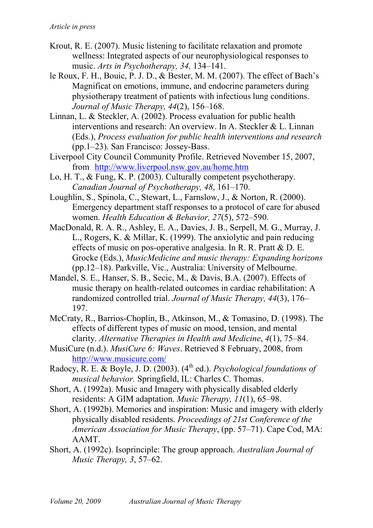- Krout, R. E. (2007). Music listening to facilitate relaxation and promote wellness: Integrated aspects of our neurophysiological responses to music. *Arts in Psychotherapy, 34,* 134–141.
- le Roux, F. H., Bouic, P. J. D., & Bester, M. M. (2007). The effect of Bach's Magnificat on emotions, immune, and endocrine parameters during physiotherapy treatment of patients with infectious lung conditions. *Journal of Music Therapy, 44*(2), 156–168.
- Linnan, L. & Steckler, A. (2002). Process evaluation for public health interventions and research: An overview. In A. Steckler & L. Linnan (Eds.), *Process evaluation for public health interventions and research*  (pp.1–23). San Francisco: Jossey-Bass.
- Liverpool City Council Community Profile. Retrieved November 15, 2007, from http://www.liverpool.nsw.gov.au/home.htm
- Lo, H. T., & Fung, K. P. (2003). Culturally competent psychotherapy. *Canadian Journal of Psychotherapy, 48*, 161–170.
- Loughlin, S., Spinola, C., Stewart, L., Farnslow, J., & Norton, R. (2000). Emergency department staff responses to a protocol of care for abused women. *Health Education & Behavior, 27*(5), 572–590.
- MacDonald, R. A. R., Ashley, E. A., Davies, J. B., Serpell, M. G., Murray, J. L., Rogers, K. & Millar, K. (1999). The anxiolytic and pain reducing effects of music on pos-operative analgesia. In R. R. Pratt & D. E. Grocke (Eds.), *MusicMedicine and music therapy: Expanding horizons* (pp.12–18). Parkville, Vic., Australia: University of Melbourne.
- Mandel, S. E., Hanser, S. B., Secic, M., & Davis, B.A. (2007). Effects of music therapy on health-related outcomes in cardiac rehabilitation: A randomized controlled trial. *Journal of Music Therapy, 44*(3), 176– 197.
- McCraty, R., Barrios-Choplin, B., Atkinson, M., & Tomasino, D. (1998). The effects of different types of music on mood, tension, and mental clarity. *Alternative Therapies in Health and Medicine*, *4*(1), 75–84.
- MusiCure (n.d.). *MusiCure 6: Waves*. Retrieved 8 February, 2008, from http://www.musicure.com/
- Radocy, R. E. & Boyle, J. D. (2003). (4<sup>th</sup> ed.). *Psychological foundations of musical behavior.* Springfield, IL: Charles C. Thomas.
- Short, A. (1992a). Music and Imagery with physically disabled elderly residents: A GIM adaptation. *Music Therapy, 11*(1), 65–98.
- Short, A. (1992b). Memories and inspiration: Music and imagery with elderly physically disabled residents. *Proceedings of 21st Conference of the American Association for Music Therapy*, (pp. 57–71). Cape Cod, MA: AAMT.
- Short, A. (1992c). Isoprinciple: The group approach. *Australian Journal of Music Therapy, 3*, 57–62.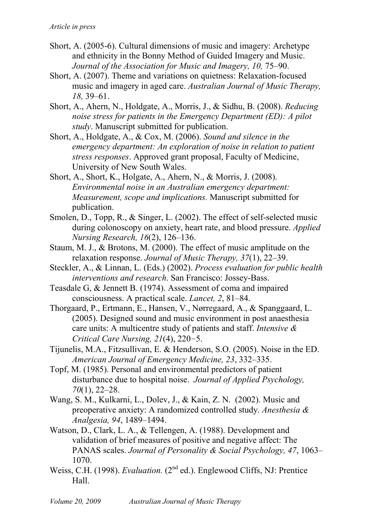- Short, A. (2005-6). Cultural dimensions of music and imagery: Archetype and ethnicity in the Bonny Method of Guided Imagery and Music. *Journal of the Association for Music and Imagery, 10,* 75–90.
- Short, A. (2007). Theme and variations on quietness: Relaxation-focused music and imagery in aged care. *Australian Journal of Music Therapy, 18,* 39–61.
- Short, A., Ahern, N., Holdgate, A., Morris, J., & Sidhu, B. (2008). *Reducing noise stress for patients in the Emergency Department (ED): A pilot study*. Manuscript submitted for publication.
- Short, A., Holdgate, A., & Cox, M. (2006). *Sound and silence in the emergency department: An exploration of noise in relation to patient stress responses*. Approved grant proposal, Faculty of Medicine, University of New South Wales.
- Short, A., Short, K., Holgate, A., Ahern, N., & Morris, J. (2008). *Environmental noise in an Australian emergency department: Measurement, scope and implications.* Manuscript submitted for publication.
- Smolen, D., Topp, R., & Singer, L. (2002). The effect of self-selected music during colonoscopy on anxiety, heart rate, and blood pressure. *Applied Nursing Research, 16*(2), 126–136.
- Staum, M. J., & Brotons, M. (2000). The effect of music amplitude on the relaxation response. *Journal of Music Therapy, 37*(1), 22–39.
- Steckler, A., & Linnan, L. (Eds.) (2002). *Process evaluation for public health interventions and research*. San Francisco: Jossey-Bass.
- Teasdale G, & Jennett B. (1974). Assessment of coma and impaired consciousness. A practical scale. *Lancet, 2*, 81–84.
- Thorgaard, P., Ertmann, E., Hansen, V., Nørregaard, A., & Spanggaard, L. (2005). Designed sound and music environment in post anaesthesia care units: A multicentre study of patients and staff. *Intensive & Critical Care Nursing, 21*(4), 220–5.
- Tijunelis, M.A., Fitzsullivan, E. & Henderson, S.O. (2005). Noise in the ED. *American Journal of Emergency Medicine, 23*, 332–335.
- Topf, M. (1985). Personal and environmental predictors of patient disturbance due to hospital noise. *Journal of Applied Psychology, 70*(1), 22–28.
- Wang, S. M., Kulkarni, L., Dolev, J., & Kain, Z. N. (2002). Music and preoperative anxiety: A randomized controlled study. *Anesthesia & Analgesia, 94*, 1489–1494.
- Watson, D., Clark, L. A., & Tellengen, A. (1988). Development and validation of brief measures of positive and negative affect: The PANAS scales. *Journal of Personality & Social Psychology, 47*, 1063– 1070.
- Weiss, C.H. (1998). *Evaluation.* (2<sup>nd</sup> ed.). Englewood Cliffs, NJ: Prentice Hall.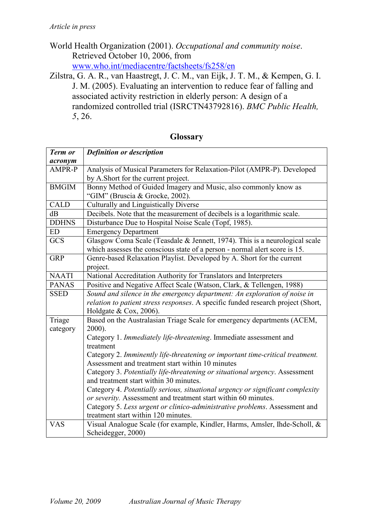- World Health Organization (2001). *Occupational and community noise*. Retrieved October 10, 2006, from www.who.int/mediacentre/factsheets/fs258/en
- Zilstra, G. A. R., van Haastregt, J. C. M., van Eijk, J. T. M., & Kempen, G. I. J. M. (2005). Evaluating an intervention to reduce fear of falling and associated activity restriction in elderly person: A design of a randomized controlled trial (ISRCTN43792816). *BMC Public Health, 5*, 26.

| Term or      | <b>Definition or description</b>                                                 |  |
|--------------|----------------------------------------------------------------------------------|--|
| acronym      |                                                                                  |  |
| AMPR-P       | Analysis of Musical Parameters for Relaxation-Pilot (AMPR-P). Developed          |  |
|              | by A.Short for the current project.                                              |  |
| <b>BMGIM</b> | Bonny Method of Guided Imagery and Music, also commonly know as                  |  |
|              | "GIM" (Bruscia & Grocke, 2002).                                                  |  |
| <b>CALD</b>  | Culturally and Linguistically Diverse                                            |  |
| dB           | Decibels. Note that the measurement of decibels is a logarithmic scale.          |  |
| <b>DDHNS</b> | Disturbance Due to Hospital Noise Scale (Topf, 1985).                            |  |
| ED           | <b>Emergency Department</b>                                                      |  |
| <b>GCS</b>   | Glasgow Coma Scale (Teasdale & Jennett, 1974). This is a neurological scale      |  |
|              | which assesses the conscious state of a person - normal alert score is 15.       |  |
| <b>GRP</b>   | Genre-based Relaxation Playlist. Developed by A. Short for the current           |  |
|              | project.                                                                         |  |
| <b>NAATI</b> | National Accreditation Authority for Translators and Interpreters                |  |
| <b>PANAS</b> | Positive and Negative Affect Scale (Watson, Clark, & Tellengen, 1988)            |  |
| <b>SSED</b>  | Sound and silence in the emergency department: An exploration of noise in        |  |
|              | relation to patient stress responses. A specific funded research project (Short, |  |
|              | Holdgate & Cox, 2006).                                                           |  |
| Triage       | Based on the Australasian Triage Scale for emergency departments (ACEM,          |  |
| category     | 2000).                                                                           |  |
|              | Category 1. Immediately life-threatening. Immediate assessment and               |  |
|              | treatment                                                                        |  |
|              | Category 2. Imminently life-threatening or important time-critical treatment.    |  |
|              | Assessment and treatment start within 10 minutes                                 |  |
|              | Category 3. Potentially life-threatening or situational urgency. Assessment      |  |
|              | and treatment start within 30 minutes.                                           |  |
|              | Category 4. Potentially serious, situational urgency or significant complexity   |  |
|              | or severity. Assessment and treatment start within 60 minutes.                   |  |
|              | Category 5. Less urgent or clinico-administrative problems. Assessment and       |  |
|              | treatment start within 120 minutes.                                              |  |
| <b>VAS</b>   | Visual Analogue Scale (for example, Kindler, Harms, Amsler, Ihde-Scholl, &       |  |
|              | Scheidegger, 2000)                                                               |  |

#### **Glossary**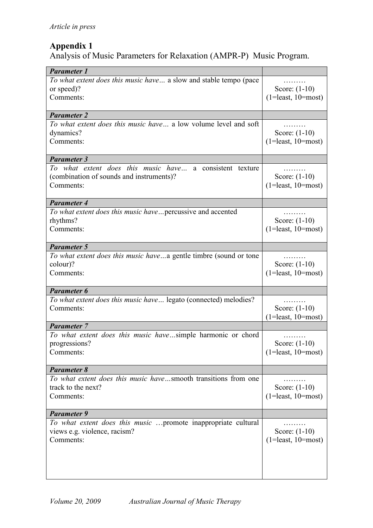## **Appendix 1**

Analysis of Music Parameters for Relaxation (AMPR-P) Music Program.

| <b>Parameter 1</b>                                                     |                                         |
|------------------------------------------------------------------------|-----------------------------------------|
| To what extent does this music have a slow and stable tempo (pace      | .                                       |
| or speed)?                                                             | Score: $(1-10)$                         |
| Comments:                                                              | $(1=least, 10=most)$                    |
|                                                                        |                                         |
| <b>Parameter 2</b>                                                     |                                         |
| To what extent does this music have a low volume level and soft        | .                                       |
| dynamics?<br>Comments:                                                 | Score: $(1-10)$<br>$(1=least, 10=most)$ |
|                                                                        |                                         |
| <b>Parameter 3</b>                                                     |                                         |
| To what extent does this music have a consistent texture               | .                                       |
| (combination of sounds and instruments)?                               | Score: $(1-10)$                         |
| Comments:                                                              | $(1=least, 10=most)$                    |
|                                                                        |                                         |
| Parameter 4                                                            |                                         |
| To what extent does this music havepercussive and accented<br>rhythms? | Score: $(1-10)$                         |
| Comments:                                                              | $(1=least, 10=most)$                    |
|                                                                        |                                         |
| <b>Parameter 5</b>                                                     |                                         |
| To what extent does this music havea gentle timbre (sound or tone      |                                         |
| colour)?                                                               | Score: $(1-10)$                         |
| Comments:                                                              | $(1=least, 10=most)$                    |
| <b>Parameter 6</b>                                                     |                                         |
| To what extent does this music have legato (connected) melodies?       |                                         |
| Comments:                                                              | Score: (1-10)                           |
|                                                                        | $(1=least, 10=most)$                    |
| <b>Parameter 7</b>                                                     |                                         |
| To what extent does this music havesimple harmonic or chord            | .                                       |
| progressions?<br>Comments:                                             | Score: $(1-10)$<br>$(1=least, 10=most)$ |
|                                                                        |                                         |
| <b>Parameter 8</b>                                                     |                                         |
| To what extent does this music havesmooth transitions from one         |                                         |
| track to the next?                                                     | Score: $(1-10)$                         |
| Comments:                                                              | $(1=least, 10=most)$                    |
| <b>Parameter 9</b>                                                     |                                         |
| To what extent does this music promote inappropriate cultural          |                                         |
| views e.g. violence, racism?                                           | Score: $(1-10)$                         |
| Comments:                                                              | $(1=least, 10=most)$                    |
|                                                                        |                                         |
|                                                                        |                                         |
|                                                                        |                                         |
|                                                                        |                                         |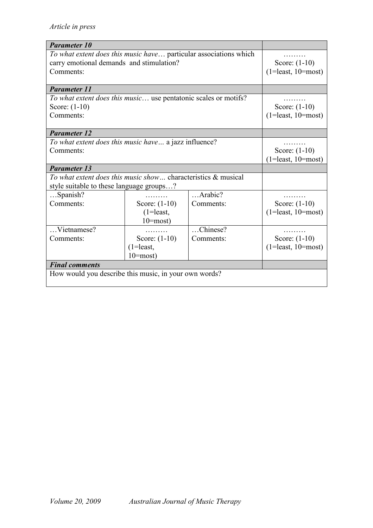| <b>Parameter 10</b>                                               |               |            |                      |
|-------------------------------------------------------------------|---------------|------------|----------------------|
| To what extent does this music have particular associations which |               |            |                      |
| carry emotional demands and stimulation?                          |               |            | Score: $(1-10)$      |
| Comments:                                                         |               |            | $(1=least, 10=most)$ |
|                                                                   |               |            |                      |
| <b>Parameter 11</b>                                               |               |            |                      |
| To what extent does this music use pentatonic scales or motifs?   |               |            | .                    |
| Score: $(1-10)$                                                   |               |            | Score: $(1-10)$      |
| Comments:                                                         |               |            | $(1=least, 10=most)$ |
|                                                                   |               |            |                      |
| <b>Parameter 12</b>                                               |               |            |                      |
| To what extent does this music have a jazz influence?             |               |            |                      |
| Comments:                                                         |               |            | Score: $(1-10)$      |
|                                                                   |               |            | $(1=least, 10=most)$ |
| <b>Parameter 13</b>                                               |               |            |                      |
| To what extent does this music show characteristics & musical     |               |            |                      |
| style suitable to these language groups?                          |               |            |                      |
| Spanish?                                                          |               | $$ Arabic? |                      |
| Comments:                                                         | Score: (1-10) | Comments:  | Score: (1-10)        |
|                                                                   | $(1=$ least,  |            | $(1=least, 10=most)$ |
|                                                                   | $10 = most$ ) |            |                      |
| Vietnamese?                                                       |               | Chinese?   | .                    |
| Comments:                                                         | Score: (1-10) | Comments:  | Score: $(1-10)$      |
|                                                                   | $(1=$ least,  |            | $(1=least, 10=most)$ |
|                                                                   | $10 = most$ ) |            |                      |
| <b>Final comments</b>                                             |               |            |                      |
| How would you describe this music, in your own words?             |               |            |                      |
|                                                                   |               |            |                      |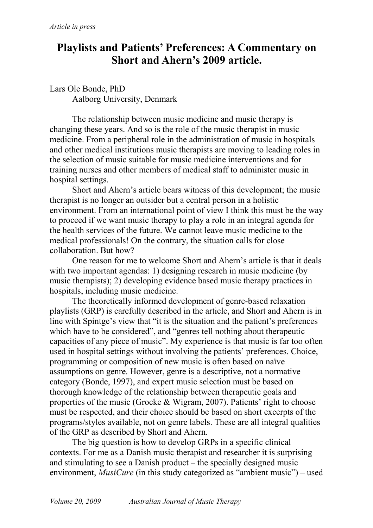# **Playlists and Patients' Preferences: A Commentary on Short and Ahern's 2009 article.**

Lars Ole Bonde, PhD Aalborg University, Denmark

The relationship between music medicine and music therapy is changing these years. And so is the role of the music therapist in music medicine. From a peripheral role in the administration of music in hospitals and other medical institutions music therapists are moving to leading roles in the selection of music suitable for music medicine interventions and for training nurses and other members of medical staff to administer music in hospital settings.

Short and Ahern's article bears witness of this development; the music therapist is no longer an outsider but a central person in a holistic environment. From an international point of view I think this must be the way to proceed if we want music therapy to play a role in an integral agenda for the health services of the future. We cannot leave music medicine to the medical professionals! On the contrary, the situation calls for close collaboration. But how?

One reason for me to welcome Short and Ahern's article is that it deals with two important agendas: 1) designing research in music medicine (by music therapists); 2) developing evidence based music therapy practices in hospitals, including music medicine.

The theoretically informed development of genre-based relaxation playlists (GRP) is carefully described in the article, and Short and Ahern is in line with Spintge's view that "it is the situation and the patient's preferences which have to be considered", and "genres tell nothing about therapeutic capacities of any piece of music". My experience is that music is far too often used in hospital settings without involving the patients' preferences. Choice, programming or composition of new music is often based on naïve assumptions on genre. However, genre is a descriptive, not a normative category (Bonde, 1997), and expert music selection must be based on thorough knowledge of the relationship between therapeutic goals and properties of the music (Grocke & Wigram, 2007). Patients' right to choose must be respected, and their choice should be based on short excerpts of the programs/styles available, not on genre labels. These are all integral qualities of the GRP as described by Short and Ahern.

The big question is how to develop GRPs in a specific clinical contexts. For me as a Danish music therapist and researcher it is surprising and stimulating to see a Danish product – the specially designed music environment, *MusiCure* (in this study categorized as "ambient music") – used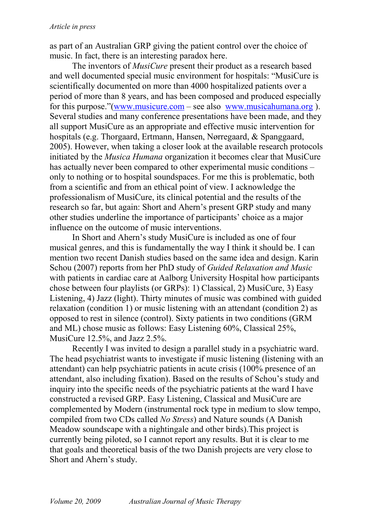as part of an Australian GRP giving the patient control over the choice of music. In fact, there is an interesting paradox here.

The inventors of *MusiCure* present their product as a research based and well documented special music environment for hospitals: "MusiCure is scientifically documented on more than 4000 hospitalized patients over a period of more than 8 years, and has been composed and produced especially for this purpose."(www.musicure.com – see also www.musicahumana.org ). Several studies and many conference presentations have been made, and they all support MusiCure as an appropriate and effective music intervention for hospitals (e.g. Thorgaard, Ertmann, Hansen, Nørregaard, & Spanggaard, 2005). However, when taking a closer look at the available research protocols initiated by the *Musica Humana* organization it becomes clear that MusiCure has actually never been compared to other experimental music conditions – only to nothing or to hospital soundspaces. For me this is problematic, both from a scientific and from an ethical point of view. I acknowledge the professionalism of MusiCure, its clinical potential and the results of the research so far, but again: Short and Ahern's present GRP study and many other studies underline the importance of participants' choice as a major influence on the outcome of music interventions.

In Short and Ahern's study MusiCure is included as one of four musical genres, and this is fundamentally the way I think it should be. I can mention two recent Danish studies based on the same idea and design. Karin Schou (2007) reports from her PhD study of *Guided Relaxation and Music* with patients in cardiac care at Aalborg University Hospital how participants chose between four playlists (or GRPs): 1) Classical, 2) MusiCure, 3) Easy Listening, 4) Jazz (light). Thirty minutes of music was combined with guided relaxation (condition 1) or music listening with an attendant (condition 2) as opposed to rest in silence (control). Sixty patients in two conditions (GRM and ML) chose music as follows: Easy Listening 60%, Classical 25%, MusiCure 12.5%, and Jazz 2.5%.

Recently I was invited to design a parallel study in a psychiatric ward. The head psychiatrist wants to investigate if music listening (listening with an attendant) can help psychiatric patients in acute crisis (100% presence of an attendant, also including fixation). Based on the results of Schou's study and inquiry into the specific needs of the psychiatric patients at the ward I have constructed a revised GRP. Easy Listening, Classical and MusiCure are complemented by Modern (instrumental rock type in medium to slow tempo, compiled from two CDs called *No Stress*) and Nature sounds (A Danish Meadow soundscape with a nightingale and other birds).This project is currently being piloted, so I cannot report any results. But it is clear to me that goals and theoretical basis of the two Danish projects are very close to Short and Ahern's study.